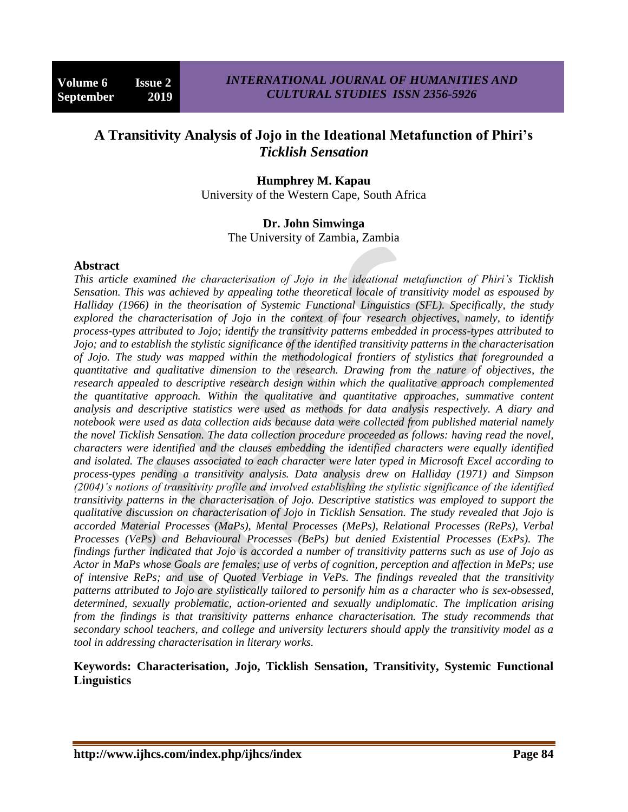# **A Transitivity Analysis of Jojo in the Ideational Metafunction of Phiri's**  *Ticklish Sensation*

#### **Humphrey M. Kapau**

University of the Western Cape, South Africa

#### **Dr. John Simwinga**

The University of Zambia, Zambia

#### **Abstract**

*This article examined the characterisation of Jojo in the ideational metafunction of Phiri's Ticklish Sensation. This was achieved by appealing tothe theoretical locale of transitivity model as espoused by Halliday (1966) in the theorisation of Systemic Functional Linguistics (SFL). Specifically, the study explored the characterisation of Jojo in the context of four research objectives, namely, to identify process-types attributed to Jojo; identify the transitivity patterns embedded in process-types attributed to Jojo; and to establish the stylistic significance of the identified transitivity patterns in the characterisation of Jojo. The study was mapped within the methodological frontiers of stylistics that foregrounded a quantitative and qualitative dimension to the research. Drawing from the nature of objectives, the research appealed to descriptive research design within which the qualitative approach complemented the quantitative approach. Within the qualitative and quantitative approaches, summative content analysis and descriptive statistics were used as methods for data analysis respectively. A diary and notebook were used as data collection aids because data were collected from published material namely the novel Ticklish Sensation. The data collection procedure proceeded as follows: having read the novel, characters were identified and the clauses embedding the identified characters were equally identified and isolated. The clauses associated to each character were later typed in Microsoft Excel according to process-types pending a transitivity analysis. Data analysis drew on Halliday (1971) and Simpson (2004)'s notions of transitivity profile and involved establishing the stylistic significance of the identified transitivity patterns in the characterisation of Jojo. Descriptive statistics was employed to support the qualitative discussion on characterisation of Jojo in Ticklish Sensation. The study revealed that Jojo is accorded Material Processes (MaPs), Mental Processes (MePs), Relational Processes (RePs), Verbal Processes (VePs) and Behavioural Processes (BePs) but denied Existential Processes (ExPs). The findings further indicated that Jojo is accorded a number of transitivity patterns such as use of Jojo as Actor in MaPs whose Goals are females; use of verbs of cognition, perception and affection in MePs; use of intensive RePs; and use of Quoted Verbiage in VePs. The findings revealed that the transitivity patterns attributed to Jojo are stylistically tailored to personify him as a character who is sex-obsessed, determined, sexually problematic, action-oriented and sexually undiplomatic. The implication arising from the findings is that transitivity patterns enhance characterisation. The study recommends that secondary school teachers, and college and university lecturers should apply the transitivity model as a tool in addressing characterisation in literary works.*

### **Keywords: Characterisation, Jojo, Ticklish Sensation, Transitivity, Systemic Functional Linguistics**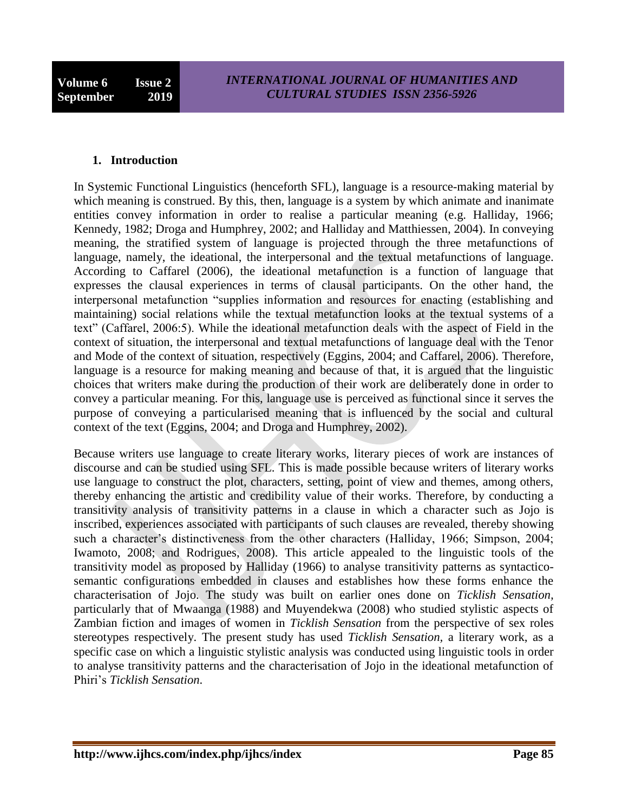#### **1. Introduction**

In Systemic Functional Linguistics (henceforth SFL), language is a resource-making material by which meaning is construed. By this, then, language is a system by which animate and inanimate entities convey information in order to realise a particular meaning (e.g. Halliday, 1966; Kennedy, 1982; Droga and Humphrey, 2002; and Halliday and Matthiessen, 2004). In conveying meaning, the stratified system of language is projected through the three metafunctions of language, namely, the ideational, the interpersonal and the textual metafunctions of language. According to Caffarel (2006), the ideational metafunction is a function of language that expresses the clausal experiences in terms of clausal participants. On the other hand, the interpersonal metafunction "supplies information and resources for enacting (establishing and maintaining) social relations while the textual metafunction looks at the textual systems of a text" (Caffarel, 2006:5). While the ideational metafunction deals with the aspect of Field in the context of situation, the interpersonal and textual metafunctions of language deal with the Tenor and Mode of the context of situation, respectively (Eggins, 2004; and Caffarel, 2006). Therefore, language is a resource for making meaning and because of that, it is argued that the linguistic choices that writers make during the production of their work are deliberately done in order to convey a particular meaning. For this, language use is perceived as functional since it serves the purpose of conveying a particularised meaning that is influenced by the social and cultural context of the text (Eggins, 2004; and Droga and Humphrey, 2002).

Because writers use language to create literary works, literary pieces of work are instances of discourse and can be studied using SFL. This is made possible because writers of literary works use language to construct the plot, characters, setting, point of view and themes, among others, thereby enhancing the artistic and credibility value of their works. Therefore, by conducting a transitivity analysis of transitivity patterns in a clause in which a character such as Jojo is inscribed, experiences associated with participants of such clauses are revealed, thereby showing such a character's distinctiveness from the other characters (Halliday, 1966; Simpson, 2004; Iwamoto, 2008; and Rodrigues, 2008). This article appealed to the linguistic tools of the transitivity model as proposed by Halliday (1966) to analyse transitivity patterns as syntacticosemantic configurations embedded in clauses and establishes how these forms enhance the characterisation of Jojo. The study was built on earlier ones done on *Ticklish Sensation,*  particularly that of Mwaanga (1988) and Muyendekwa (2008) who studied stylistic aspects of Zambian fiction and images of women in *Ticklish Sensation* from the perspective of sex roles stereotypes respectively. The present study has used *Ticklish Sensation,* a literary work, as a specific case on which a linguistic stylistic analysis was conducted using linguistic tools in order to analyse transitivity patterns and the characterisation of Jojo in the ideational metafunction of Phiri"s *Ticklish Sensation*.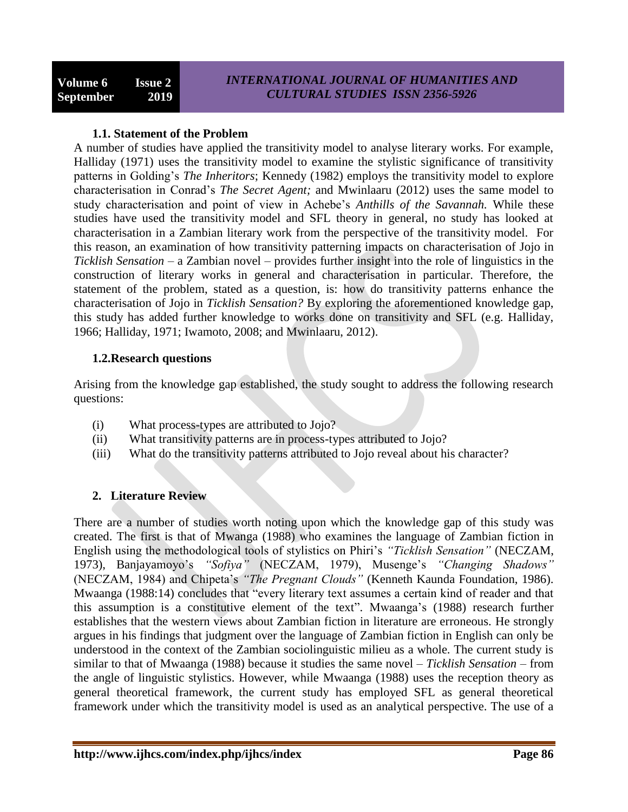### **1.1. Statement of the Problem**

A number of studies have applied the transitivity model to analyse literary works. For example, Halliday (1971) uses the transitivity model to examine the stylistic significance of transitivity patterns in Golding"s *The Inheritors*; Kennedy (1982) employs the transitivity model to explore characterisation in Conrad"s *The Secret Agent;* and Mwinlaaru (2012) uses the same model to study characterisation and point of view in Achebe"s *Anthills of the Savannah.* While these studies have used the transitivity model and SFL theory in general, no study has looked at characterisation in a Zambian literary work from the perspective of the transitivity model. For this reason, an examination of how transitivity patterning impacts on characterisation of Jojo in *Ticklish Sensation* – a Zambian novel – provides further insight into the role of linguistics in the construction of literary works in general and characterisation in particular. Therefore, the statement of the problem, stated as a question, is: how do transitivity patterns enhance the characterisation of Jojo in *Ticklish Sensation?* By exploring the aforementioned knowledge gap, this study has added further knowledge to works done on transitivity and SFL (e.g. Halliday, 1966; Halliday, 1971; Iwamoto, 2008; and Mwinlaaru, 2012).

### **1.2.Research questions**

Arising from the knowledge gap established, the study sought to address the following research questions:

- (i) What process-types are attributed to Jojo?
- (ii) What transitivity patterns are in process-types attributed to Jojo?
- (iii) What do the transitivity patterns attributed to Jojo reveal about his character?

## **2. Literature Review**

There are a number of studies worth noting upon which the knowledge gap of this study was created. The first is that of Mwanga (1988) who examines the language of Zambian fiction in English using the methodological tools of stylistics on Phiri"s *"Ticklish Sensation"* (NECZAM, 1973), Banjayamoyo's "Sofiya" (NECZAM, 1979), Musenge's "Changing Shadows" (NECZAM, 1984) and Chipeta"s *"The Pregnant Clouds"* (Kenneth Kaunda Foundation, 1986). Mwaanga (1988:14) concludes that "every literary text assumes a certain kind of reader and that this assumption is a constitutive element of the text". Mwaanga"s (1988) research further establishes that the western views about Zambian fiction in literature are erroneous. He strongly argues in his findings that judgment over the language of Zambian fiction in English can only be understood in the context of the Zambian sociolinguistic milieu as a whole. The current study is similar to that of Mwaanga (1988) because it studies the same novel – *Ticklish Sensation* – from the angle of linguistic stylistics. However, while Mwaanga (1988) uses the reception theory as general theoretical framework, the current study has employed SFL as general theoretical framework under which the transitivity model is used as an analytical perspective. The use of a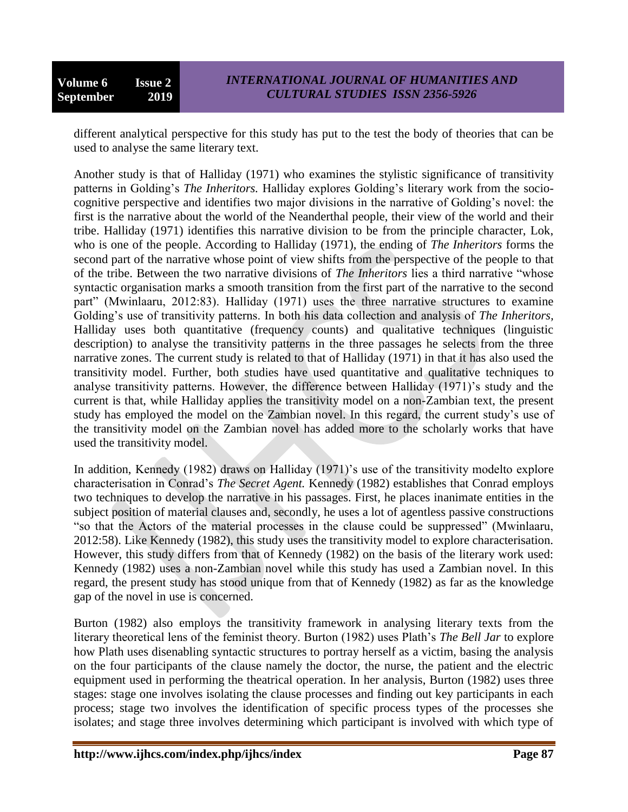different analytical perspective for this study has put to the test the body of theories that can be used to analyse the same literary text.

Another study is that of Halliday (1971) who examines the stylistic significance of transitivity patterns in Golding"s *The Inheritors.* Halliday explores Golding"s literary work from the sociocognitive perspective and identifies two major divisions in the narrative of Golding"s novel: the first is the narrative about the world of the Neanderthal people, their view of the world and their tribe. Halliday (1971) identifies this narrative division to be from the principle character, Lok, who is one of the people. According to Halliday (1971), the ending of *The Inheritors* forms the second part of the narrative whose point of view shifts from the perspective of the people to that of the tribe. Between the two narrative divisions of *The Inheritors* lies a third narrative "whose syntactic organisation marks a smooth transition from the first part of the narrative to the second part" (Mwinlaaru, 2012:83). Halliday (1971) uses the three narrative structures to examine Golding"s use of transitivity patterns. In both his data collection and analysis of *The Inheritors,*  Halliday uses both quantitative (frequency counts) and qualitative techniques (linguistic description) to analyse the transitivity patterns in the three passages he selects from the three narrative zones. The current study is related to that of Halliday (1971) in that it has also used the transitivity model. Further, both studies have used quantitative and qualitative techniques to analyse transitivity patterns. However, the difference between Halliday (1971)'s study and the current is that, while Halliday applies the transitivity model on a non-Zambian text, the present study has employed the model on the Zambian novel. In this regard, the current study"s use of the transitivity model on the Zambian novel has added more to the scholarly works that have used the transitivity model.

In addition, Kennedy (1982) draws on Halliday (1971)'s use of the transitivity modelto explore characterisation in Conrad"s *The Secret Agent.* Kennedy (1982) establishes that Conrad employs two techniques to develop the narrative in his passages. First, he places inanimate entities in the subject position of material clauses and, secondly, he uses a lot of agentless passive constructions "so that the Actors of the material processes in the clause could be suppressed" (Mwinlaaru, 2012:58). Like Kennedy (1982), this study uses the transitivity model to explore characterisation. However, this study differs from that of Kennedy (1982) on the basis of the literary work used: Kennedy (1982) uses a non-Zambian novel while this study has used a Zambian novel. In this regard, the present study has stood unique from that of Kennedy (1982) as far as the knowledge gap of the novel in use is concerned.

Burton (1982) also employs the transitivity framework in analysing literary texts from the literary theoretical lens of the feminist theory. Burton (1982) uses Plath"s *The Bell Jar* to explore how Plath uses disenabling syntactic structures to portray herself as a victim, basing the analysis on the four participants of the clause namely the doctor, the nurse, the patient and the electric equipment used in performing the theatrical operation. In her analysis, Burton (1982) uses three stages: stage one involves isolating the clause processes and finding out key participants in each process; stage two involves the identification of specific process types of the processes she isolates; and stage three involves determining which participant is involved with which type of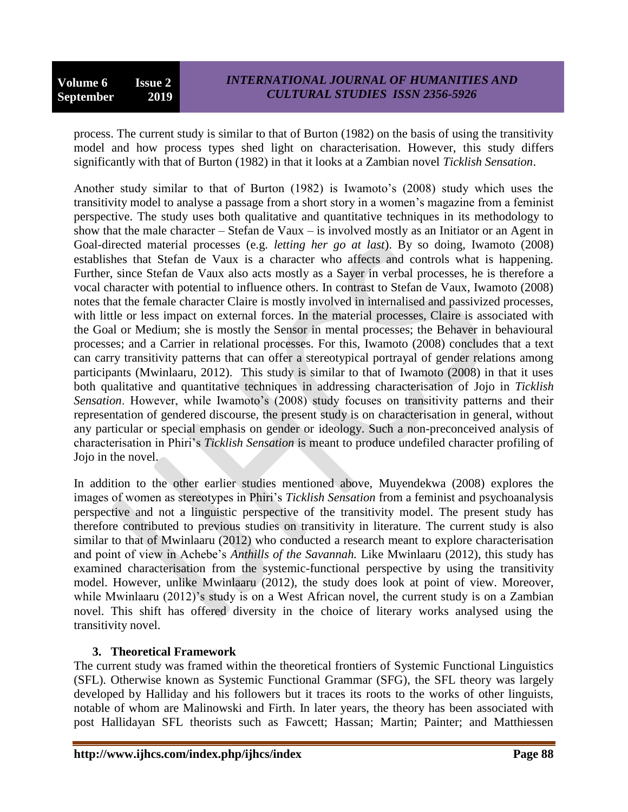process. The current study is similar to that of Burton (1982) on the basis of using the transitivity model and how process types shed light on characterisation. However, this study differs significantly with that of Burton (1982) in that it looks at a Zambian novel *Ticklish Sensation*.

Another study similar to that of Burton (1982) is Iwamoto's (2008) study which uses the transitivity model to analyse a passage from a short story in a women"s magazine from a feminist perspective. The study uses both qualitative and quantitative techniques in its methodology to show that the male character – Stefan de Vaux – is involved mostly as an Initiator or an Agent in Goal-directed material processes (e.g. *letting her go at last*). By so doing, Iwamoto (2008) establishes that Stefan de Vaux is a character who affects and controls what is happening. Further, since Stefan de Vaux also acts mostly as a Sayer in verbal processes, he is therefore a vocal character with potential to influence others. In contrast to Stefan de Vaux, Iwamoto (2008) notes that the female character Claire is mostly involved in internalised and passivized processes, with little or less impact on external forces. In the material processes, Claire is associated with the Goal or Medium; she is mostly the Sensor in mental processes; the Behaver in behavioural processes; and a Carrier in relational processes. For this, Iwamoto (2008) concludes that a text can carry transitivity patterns that can offer a stereotypical portrayal of gender relations among participants (Mwinlaaru, 2012). This study is similar to that of Iwamoto (2008) in that it uses both qualitative and quantitative techniques in addressing characterisation of Jojo in *Ticklish Sensation*. However, while Iwamoto's (2008) study focuses on transitivity patterns and their representation of gendered discourse, the present study is on characterisation in general, without any particular or special emphasis on gender or ideology. Such a non-preconceived analysis of characterisation in Phiri"s *Ticklish Sensation* is meant to produce undefiled character profiling of Jojo in the novel.

In addition to the other earlier studies mentioned above, Muyendekwa (2008) explores the images of women as stereotypes in Phiri"s *Ticklish Sensation* from a feminist and psychoanalysis perspective and not a linguistic perspective of the transitivity model. The present study has therefore contributed to previous studies on transitivity in literature. The current study is also similar to that of Mwinlaaru (2012) who conducted a research meant to explore characterisation and point of view in Achebe"s *Anthills of the Savannah.* Like Mwinlaaru (2012), this study has examined characterisation from the systemic-functional perspective by using the transitivity model. However, unlike Mwinlaaru (2012), the study does look at point of view. Moreover, while Mwinlaaru (2012)'s study is on a West African novel, the current study is on a Zambian novel. This shift has offered diversity in the choice of literary works analysed using the transitivity novel.

### **3. Theoretical Framework**

The current study was framed within the theoretical frontiers of Systemic Functional Linguistics (SFL). Otherwise known as Systemic Functional Grammar (SFG), the SFL theory was largely developed by Halliday and his followers but it traces its roots to the works of other linguists, notable of whom are Malinowski and Firth. In later years, the theory has been associated with post Hallidayan SFL theorists such as Fawcett; Hassan; Martin; Painter; and Matthiessen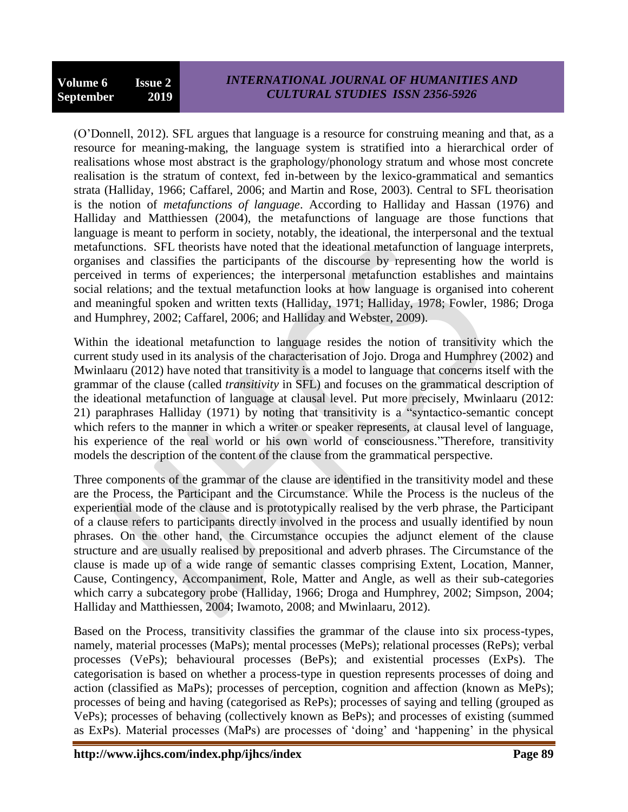(O"Donnell, 2012). SFL argues that language is a resource for construing meaning and that, as a resource for meaning-making, the language system is stratified into a hierarchical order of realisations whose most abstract is the graphology/phonology stratum and whose most concrete realisation is the stratum of context, fed in-between by the lexico-grammatical and semantics strata (Halliday, 1966; Caffarel, 2006; and Martin and Rose, 2003). Central to SFL theorisation is the notion of *metafunctions of language*. According to Halliday and Hassan (1976) and Halliday and Matthiessen (2004), the metafunctions of language are those functions that language is meant to perform in society, notably, the ideational, the interpersonal and the textual metafunctions. SFL theorists have noted that the ideational metafunction of language interprets, organises and classifies the participants of the discourse by representing how the world is perceived in terms of experiences; the interpersonal metafunction establishes and maintains social relations; and the textual metafunction looks at how language is organised into coherent and meaningful spoken and written texts (Halliday, 1971; Halliday, 1978; Fowler, 1986; Droga and Humphrey, 2002; Caffarel, 2006; and Halliday and Webster, 2009).

Within the ideational metafunction to language resides the notion of transitivity which the current study used in its analysis of the characterisation of Jojo. Droga and Humphrey (2002) and Mwinlaaru (2012) have noted that transitivity is a model to language that concerns itself with the grammar of the clause (called *transitivity* in SFL) and focuses on the grammatical description of the ideational metafunction of language at clausal level. Put more precisely, Mwinlaaru (2012: 21) paraphrases Halliday (1971) by noting that transitivity is a "syntactico-semantic concept which refers to the manner in which a writer or speaker represents, at clausal level of language, his experience of the real world or his own world of consciousness."Therefore, transitivity models the description of the content of the clause from the grammatical perspective.

Three components of the grammar of the clause are identified in the transitivity model and these are the Process, the Participant and the Circumstance. While the Process is the nucleus of the experiential mode of the clause and is prototypically realised by the verb phrase, the Participant of a clause refers to participants directly involved in the process and usually identified by noun phrases. On the other hand, the Circumstance occupies the adjunct element of the clause structure and are usually realised by prepositional and adverb phrases. The Circumstance of the clause is made up of a wide range of semantic classes comprising Extent, Location, Manner, Cause, Contingency, Accompaniment, Role, Matter and Angle, as well as their sub-categories which carry a subcategory probe (Halliday, 1966; Droga and Humphrey, 2002; Simpson, 2004; Halliday and Matthiessen, 2004; Iwamoto, 2008; and Mwinlaaru, 2012).

Based on the Process, transitivity classifies the grammar of the clause into six process-types, namely, material processes (MaPs); mental processes (MePs); relational processes (RePs); verbal processes (VePs); behavioural processes (BePs); and existential processes (ExPs). The categorisation is based on whether a process-type in question represents processes of doing and action (classified as MaPs); processes of perception, cognition and affection (known as MePs); processes of being and having (categorised as RePs); processes of saying and telling (grouped as VePs); processes of behaving (collectively known as BePs); and processes of existing (summed as ExPs). Material processes (MaPs) are processes of "doing" and "happening" in the physical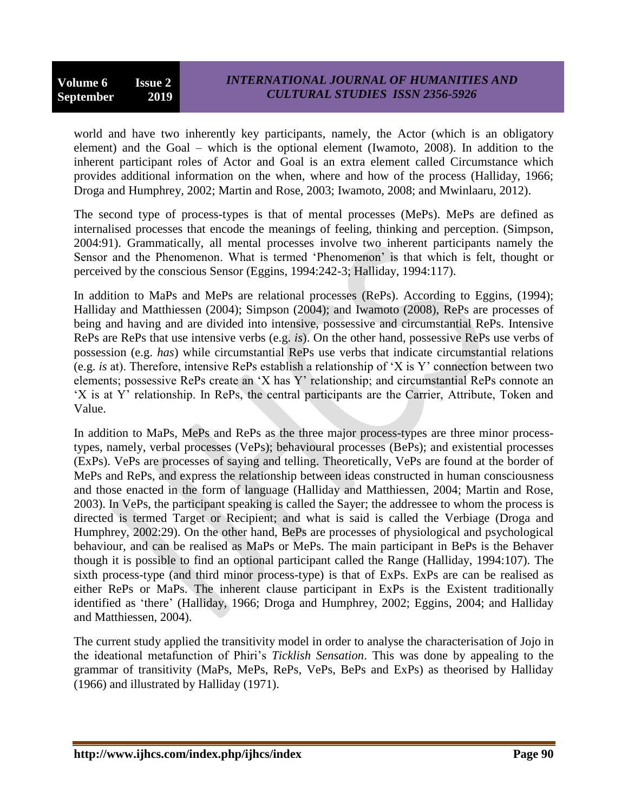world and have two inherently key participants, namely, the Actor (which is an obligatory element) and the Goal – which is the optional element (Iwamoto, 2008). In addition to the inherent participant roles of Actor and Goal is an extra element called Circumstance which provides additional information on the when, where and how of the process (Halliday, 1966; Droga and Humphrey, 2002; Martin and Rose, 2003; Iwamoto, 2008; and Mwinlaaru, 2012).

The second type of process-types is that of mental processes (MePs). MePs are defined as internalised processes that encode the meanings of feeling, thinking and perception. (Simpson, 2004:91). Grammatically, all mental processes involve two inherent participants namely the Sensor and the Phenomenon. What is termed 'Phenomenon' is that which is felt, thought or perceived by the conscious Sensor (Eggins, 1994:242-3; Halliday, 1994:117).

In addition to MaPs and MePs are relational processes (RePs). According to Eggins, (1994); Halliday and Matthiessen (2004); Simpson (2004); and Iwamoto (2008), RePs are processes of being and having and are divided into intensive, possessive and circumstantial RePs. Intensive RePs are RePs that use intensive verbs (e.g. *is*). On the other hand, possessive RePs use verbs of possession (e.g. *has*) while circumstantial RePs use verbs that indicate circumstantial relations (e.g. *is* at). Therefore, intensive RePs establish a relationship of "X is Y" connection between two elements; possessive RePs create an "X has Y" relationship; and circumstantial RePs connote an "X is at Y" relationship. In RePs, the central participants are the Carrier, Attribute, Token and Value.

In addition to MaPs, MePs and RePs as the three major process-types are three minor processtypes, namely, verbal processes (VePs); behavioural processes (BePs); and existential processes (ExPs). VePs are processes of saying and telling. Theoretically, VePs are found at the border of MePs and RePs, and express the relationship between ideas constructed in human consciousness and those enacted in the form of language (Halliday and Matthiessen, 2004; Martin and Rose, 2003). In VePs, the participant speaking is called the Sayer; the addressee to whom the process is directed is termed Target or Recipient; and what is said is called the Verbiage (Droga and Humphrey, 2002:29). On the other hand, BePs are processes of physiological and psychological behaviour, and can be realised as MaPs or MePs. The main participant in BePs is the Behaver though it is possible to find an optional participant called the Range (Halliday, 1994:107). The sixth process-type (and third minor process-type) is that of ExPs. ExPs are can be realised as either RePs or MaPs. The inherent clause participant in ExPs is the Existent traditionally identified as "there" (Halliday, 1966; Droga and Humphrey, 2002; Eggins, 2004; and Halliday and Matthiessen, 2004).

The current study applied the transitivity model in order to analyse the characterisation of Jojo in the ideational metafunction of Phiri"s *Ticklish Sensation*. This was done by appealing to the grammar of transitivity (MaPs, MePs, RePs, VePs, BePs and ExPs) as theorised by Halliday (1966) and illustrated by Halliday (1971).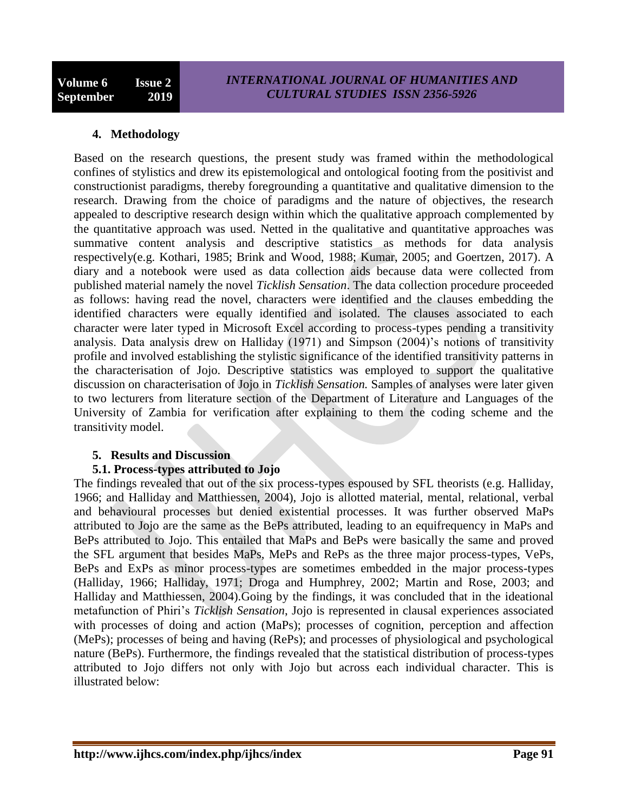### **4. Methodology**

Based on the research questions, the present study was framed within the methodological confines of stylistics and drew its epistemological and ontological footing from the positivist and constructionist paradigms, thereby foregrounding a quantitative and qualitative dimension to the research. Drawing from the choice of paradigms and the nature of objectives, the research appealed to descriptive research design within which the qualitative approach complemented by the quantitative approach was used. Netted in the qualitative and quantitative approaches was summative content analysis and descriptive statistics as methods for data analysis respectively(e.g. Kothari, 1985; Brink and Wood, 1988; Kumar, 2005; and Goertzen, 2017). A diary and a notebook were used as data collection aids because data were collected from published material namely the novel *Ticklish Sensation*. The data collection procedure proceeded as follows: having read the novel, characters were identified and the clauses embedding the identified characters were equally identified and isolated. The clauses associated to each character were later typed in Microsoft Excel according to process-types pending a transitivity analysis. Data analysis drew on Halliday (1971) and Simpson (2004)'s notions of transitivity profile and involved establishing the stylistic significance of the identified transitivity patterns in the characterisation of Jojo. Descriptive statistics was employed to support the qualitative discussion on characterisation of Jojo in *Ticklish Sensation.* Samples of analyses were later given to two lecturers from literature section of the Department of Literature and Languages of the University of Zambia for verification after explaining to them the coding scheme and the transitivity model.

### **5. Results and Discussion**

### **5.1. Process-types attributed to Jojo**

The findings revealed that out of the six process-types espoused by SFL theorists (e.g. Halliday, 1966; and Halliday and Matthiessen, 2004), Jojo is allotted material, mental, relational, verbal and behavioural processes but denied existential processes. It was further observed MaPs attributed to Jojo are the same as the BePs attributed, leading to an equifrequency in MaPs and BePs attributed to Jojo. This entailed that MaPs and BePs were basically the same and proved the SFL argument that besides MaPs, MePs and RePs as the three major process-types, VePs, BePs and ExPs as minor process-types are sometimes embedded in the major process-types (Halliday, 1966; Halliday, 1971; Droga and Humphrey, 2002; Martin and Rose, 2003; and Halliday and Matthiessen, 2004).Going by the findings, it was concluded that in the ideational metafunction of Phiri"s *Ticklish Sensation*, Jojo is represented in clausal experiences associated with processes of doing and action (MaPs); processes of cognition, perception and affection (MePs); processes of being and having (RePs); and processes of physiological and psychological nature (BePs). Furthermore, the findings revealed that the statistical distribution of process-types attributed to Jojo differs not only with Jojo but across each individual character. This is illustrated below: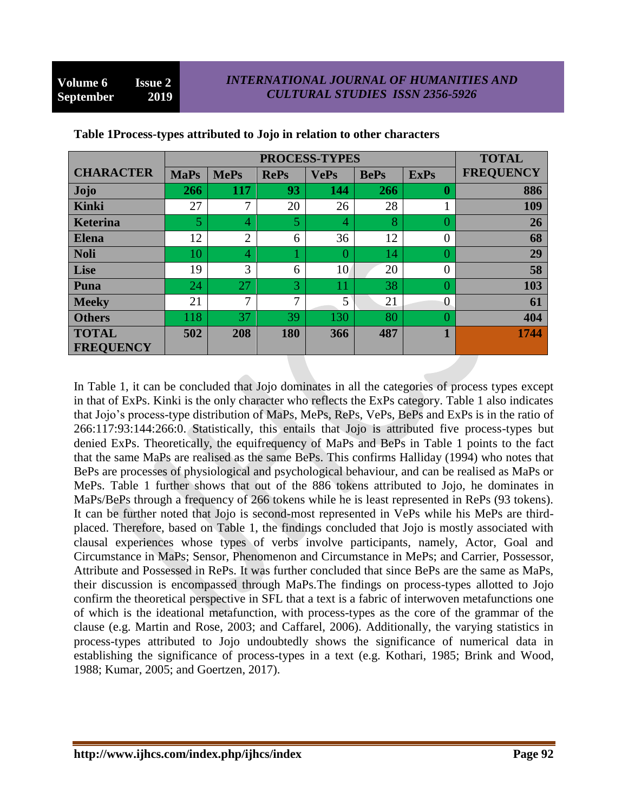|                  | PROCESS-TYPES |                |              |             |             | <b>TOTAL</b> |                  |
|------------------|---------------|----------------|--------------|-------------|-------------|--------------|------------------|
| <b>CHARACTER</b> | <b>MaPs</b>   | <b>MePs</b>    | <b>RePs</b>  | <b>VePs</b> | <b>BePs</b> | <b>ExPs</b>  | <b>FREQUENCY</b> |
| <b>Jojo</b>      | 266           | 117            | 93           | 144         | 266         | 0            | 886              |
| Kinki            | 27            | 7              | 20           | 26          | 28          |              | 109              |
| <b>Keterina</b>  | 5             | $\overline{4}$ | 5            | 4           | 8           |              | 26               |
| <b>Elena</b>     | 12            | $\overline{2}$ | 6            | 36          | 12          | 0            | 68               |
| <b>Noli</b>      | 10            | $\overline{4}$ |              | 0           | 14          |              | 29               |
| Lise             | 19            | 3              | 6            | 10          | 20          | 0            | 58               |
| Puna             | 24            | 27             | 3            | 11          | 38          |              | 103              |
| <b>Meeky</b>     | 21            | 7              | $\mathbf{r}$ | 5           | 21          | 0            | 61               |
| <b>Others</b>    | 118           | 37             | 39           | 130         | 80          |              | 404              |
| <b>TOTAL</b>     | 502           | 208            | 180          | 366         | 487         |              | 1744             |
| <b>FREQUENCY</b> |               |                |              |             |             |              |                  |

### **Table 1Process-types attributed to Jojo in relation to other characters**

In Table 1, it can be concluded that Jojo dominates in all the categories of process types except in that of ExPs. Kinki is the only character who reflects the ExPs category. Table 1 also indicates that Jojo"s process-type distribution of MaPs, MePs, RePs, VePs, BePs and ExPs is in the ratio of 266:117:93:144:266:0. Statistically, this entails that Jojo is attributed five process-types but denied ExPs. Theoretically, the equifrequency of MaPs and BePs in Table 1 points to the fact that the same MaPs are realised as the same BePs. This confirms Halliday (1994) who notes that BePs are processes of physiological and psychological behaviour, and can be realised as MaPs or MePs. Table 1 further shows that out of the 886 tokens attributed to Jojo, he dominates in MaPs/BePs through a frequency of 266 tokens while he is least represented in RePs (93 tokens). It can be further noted that Jojo is second-most represented in VePs while his MePs are thirdplaced. Therefore, based on Table 1, the findings concluded that Jojo is mostly associated with clausal experiences whose types of verbs involve participants, namely, Actor, Goal and Circumstance in MaPs; Sensor, Phenomenon and Circumstance in MePs; and Carrier, Possessor, Attribute and Possessed in RePs. It was further concluded that since BePs are the same as MaPs, their discussion is encompassed through MaPs.The findings on process-types allotted to Jojo confirm the theoretical perspective in SFL that a text is a fabric of interwoven metafunctions one of which is the ideational metafunction, with process-types as the core of the grammar of the clause (e.g. Martin and Rose, 2003; and Caffarel, 2006). Additionally, the varying statistics in process-types attributed to Jojo undoubtedly shows the significance of numerical data in establishing the significance of process-types in a text (e.g. Kothari, 1985; Brink and Wood, 1988; Kumar, 2005; and Goertzen, 2017).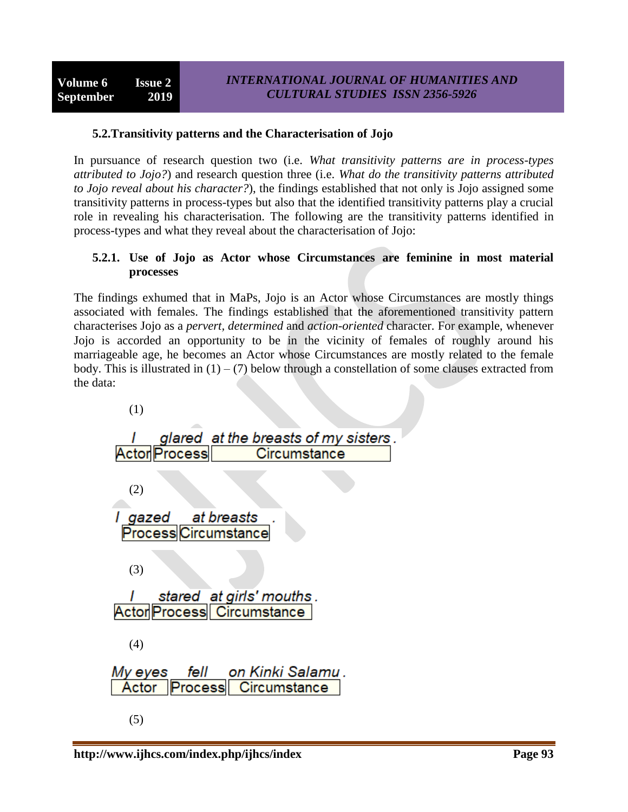### **5.2.Transitivity patterns and the Characterisation of Jojo**

In pursuance of research question two (i.e. *What transitivity patterns are in process-types attributed to Jojo?*) and research question three (i.e. *What do the transitivity patterns attributed to Jojo reveal about his character?*), the findings established that not only is Jojo assigned some transitivity patterns in process-types but also that the identified transitivity patterns play a crucial role in revealing his characterisation. The following are the transitivity patterns identified in process-types and what they reveal about the characterisation of Jojo:

### **5.2.1. Use of Jojo as Actor whose Circumstances are feminine in most material processes**

The findings exhumed that in MaPs, Jojo is an Actor whose Circumstances are mostly things associated with females. The findings established that the aforementioned transitivity pattern characterises Jojo as a *pervert, determined* and *action-oriented* character. For example, whenever Jojo is accorded an opportunity to be in the vicinity of females of roughly around his marriageable age, he becomes an Actor whose Circumstances are mostly related to the female body. This is illustrated in  $(1) - (7)$  below through a constellation of some clauses extracted from the data:

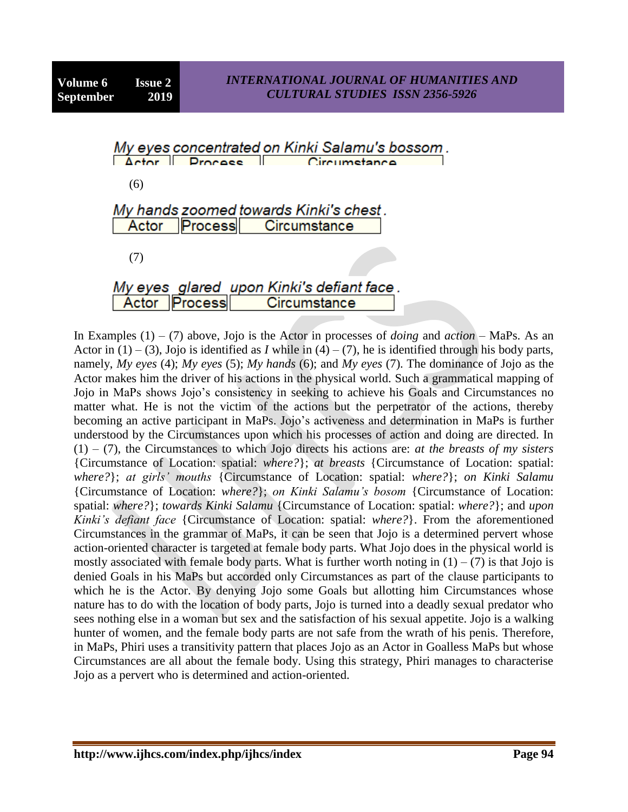| My eyes concentrated on Kinki Salamu's bossom.<br>Actor <u>Process</u><br>Circumetance |  |
|----------------------------------------------------------------------------------------|--|
| (6)                                                                                    |  |
| My hands zoomed towards Kinki's chest.<br>Actor Process Circumstance                   |  |
| (7)                                                                                    |  |
|                                                                                        |  |
| My eyes glared upon Kinki's defiant face .<br>Actor Process Circumstance               |  |

In Examples (1) – (7) above, Jojo is the Actor in processes of *doing* and *action* – MaPs. As an Actor in  $(1) - (3)$ , Jojo is identified as *I* while in  $(4) - (7)$ , he is identified through his body parts, namely, *My eyes* (4); *My eyes* (5); *My hands* (6); and *My eyes* (7). The dominance of Jojo as the Actor makes him the driver of his actions in the physical world. Such a grammatical mapping of Jojo in MaPs shows Jojo"s consistency in seeking to achieve his Goals and Circumstances no matter what. He is not the victim of the actions but the perpetrator of the actions, thereby becoming an active participant in MaPs. Jojo's activeness and determination in MaPs is further understood by the Circumstances upon which his processes of action and doing are directed. In (1) – (7), the Circumstances to which Jojo directs his actions are: *at the breasts of my sisters* {Circumstance of Location: spatial: *where?*}; *at breasts* {Circumstance of Location: spatial: *where?*}; *at girls' mouths* {Circumstance of Location: spatial: *where?*}; *on Kinki Salamu*  {Circumstance of Location: *where?*}; *on Kinki Salamu's bosom* {Circumstance of Location: spatial: *where?*}; *towards Kinki Salamu* {Circumstance of Location: spatial: *where?*}; and *upon Kinki's defiant face* {Circumstance of Location: spatial: *where?*}. From the aforementioned Circumstances in the grammar of MaPs, it can be seen that Jojo is a determined pervert whose action-oriented character is targeted at female body parts. What Jojo does in the physical world is mostly associated with female body parts. What is further worth noting in  $(1) - (7)$  is that Jojo is denied Goals in his MaPs but accorded only Circumstances as part of the clause participants to which he is the Actor. By denying Jojo some Goals but allotting him Circumstances whose nature has to do with the location of body parts, Jojo is turned into a deadly sexual predator who sees nothing else in a woman but sex and the satisfaction of his sexual appetite. Jojo is a walking hunter of women, and the female body parts are not safe from the wrath of his penis. Therefore, in MaPs, Phiri uses a transitivity pattern that places Jojo as an Actor in Goalless MaPs but whose Circumstances are all about the female body. Using this strategy, Phiri manages to characterise Jojo as a pervert who is determined and action-oriented.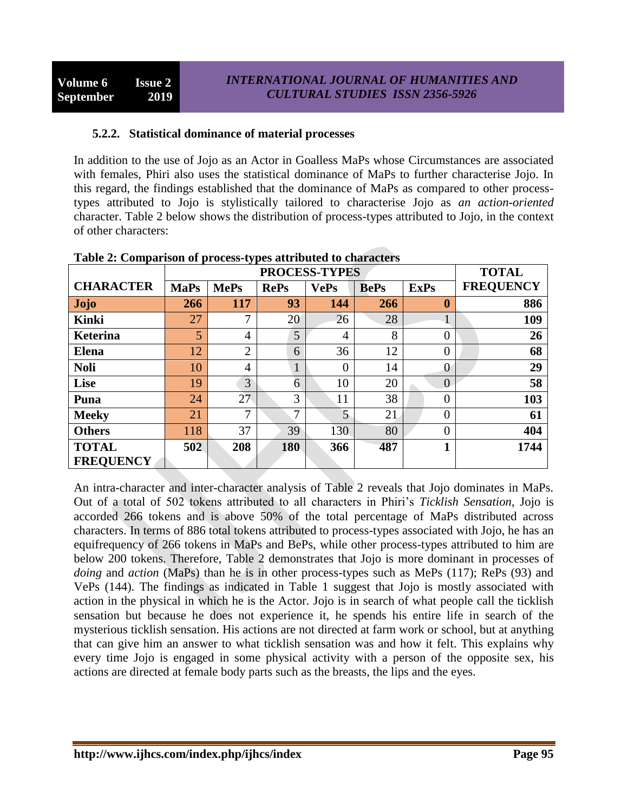### **5.2.2. Statistical dominance of material processes**

In addition to the use of Jojo as an Actor in Goalless MaPs whose Circumstances are associated with females, Phiri also uses the statistical dominance of MaPs to further characterise Jojo. In this regard, the findings established that the dominance of MaPs as compared to other processtypes attributed to Jojo is stylistically tailored to characterise Jojo as *an action-oriented* character. Table 2 below shows the distribution of process-types attributed to Jojo, in the context of other characters:

|                  | <b>PROCESS-TYPES</b> |                |               |             |             | <b>TOTAL</b>     |                  |
|------------------|----------------------|----------------|---------------|-------------|-------------|------------------|------------------|
| <b>CHARACTER</b> | <b>MaPs</b>          | <b>MePs</b>    | <b>RePs</b>   | <b>VePs</b> | <b>BePs</b> | <b>ExPs</b>      | <b>FREQUENCY</b> |
| <b>Jojo</b>      | 266                  | 117            | 93            | 144         | 266         | $\boldsymbol{0}$ | 886              |
| <b>Kinki</b>     | 27                   | 7              | 20            | 26          | 28          |                  | 109              |
| <b>Keterina</b>  | 5                    | $\overline{4}$ | 5             | 4           | 8           | $\overline{0}$   | 26               |
| <b>Elena</b>     | 12                   | $\overline{2}$ | 6             | 36          | 12          | 0                | 68               |
| <b>Noli</b>      | 10                   | $\overline{4}$ | 1             | 0           | 14          | $\overline{0}$   | 29               |
| Lise             | 19                   | 3              | 6             | 10          | 20          | $\overline{0}$   | 58               |
| Puna             | 24                   | 27             | 3             | 11          | 38          | 0                | 103              |
| <b>Meeky</b>     | 21                   | 7              | $\mathcal{I}$ | 5           | 21          | $\overline{0}$   | 61               |
| <b>Others</b>    | 118                  | 37             | 39            | 130         | 80          | $\theta$         | 404              |
| <b>TOTAL</b>     | 502                  | 208            | 180           | 366         | 487         | 1                | 1744             |
| <b>FREQUENCY</b> |                      |                |               |             |             |                  |                  |

**Table 2: Comparison of process-types attributed to characters**

An intra-character and inter-character analysis of Table 2 reveals that Jojo dominates in MaPs. Out of a total of 502 tokens attributed to all characters in Phiri"s *Ticklish Sensation*, Jojo is accorded 266 tokens and is above 50% of the total percentage of MaPs distributed across characters. In terms of 886 total tokens attributed to process-types associated with Jojo, he has an equifrequency of 266 tokens in MaPs and BePs, while other process-types attributed to him are below 200 tokens. Therefore, Table 2 demonstrates that Jojo is more dominant in processes of *doing* and *action* (MaPs) than he is in other process-types such as MePs (117); RePs (93) and VePs (144). The findings as indicated in Table 1 suggest that Jojo is mostly associated with action in the physical in which he is the Actor. Jojo is in search of what people call the ticklish sensation but because he does not experience it, he spends his entire life in search of the mysterious ticklish sensation. His actions are not directed at farm work or school, but at anything that can give him an answer to what ticklish sensation was and how it felt. This explains why every time Jojo is engaged in some physical activity with a person of the opposite sex, his actions are directed at female body parts such as the breasts, the lips and the eyes.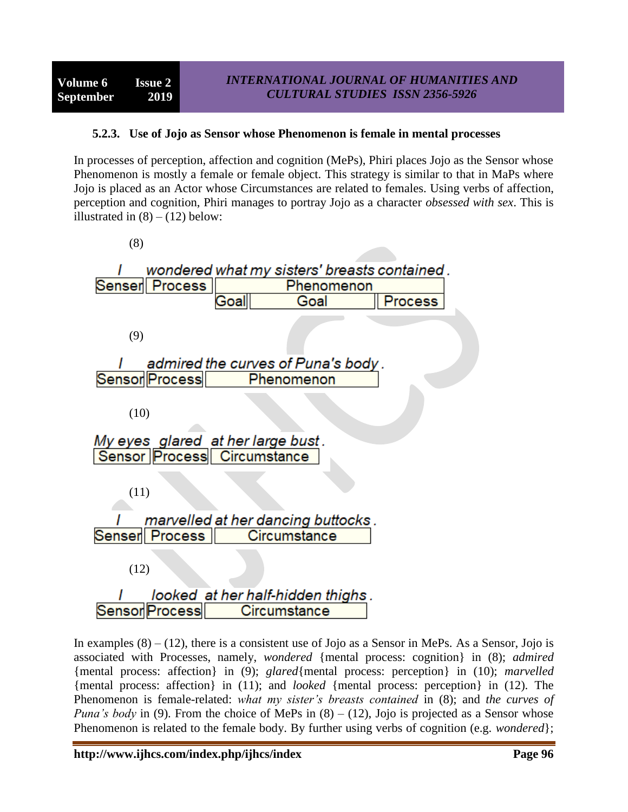## **5.2.3. Use of Jojo as Sensor whose Phenomenon is female in mental processes**

In processes of perception, affection and cognition (MePs), Phiri places Jojo as the Sensor whose Phenomenon is mostly a female or female object. This strategy is similar to that in MaPs where Jojo is placed as an Actor whose Circumstances are related to females. Using verbs of affection, perception and cognition, Phiri manages to portray Jojo as a character *obsessed with sex*. This is illustrated in  $(8) - (12)$  below:



In examples  $(8) - (12)$ , there is a consistent use of Jojo as a Sensor in MePs. As a Sensor, Jojo is associated with Processes, namely, *wondered* {mental process: cognition} in (8); *admired* {mental process: affection} in (9); *glared*{mental process: perception} in (10); *marvelled* {mental process: affection} in (11); and *looked* {mental process: perception} in (12). The Phenomenon is female-related: *what my sister's breasts contained* in (8); and *the curves of Puna's body* in (9). From the choice of MePs in (8) – (12), Jojo is projected as a Sensor whose Phenomenon is related to the female body. By further using verbs of cognition (e.g. *wondered*};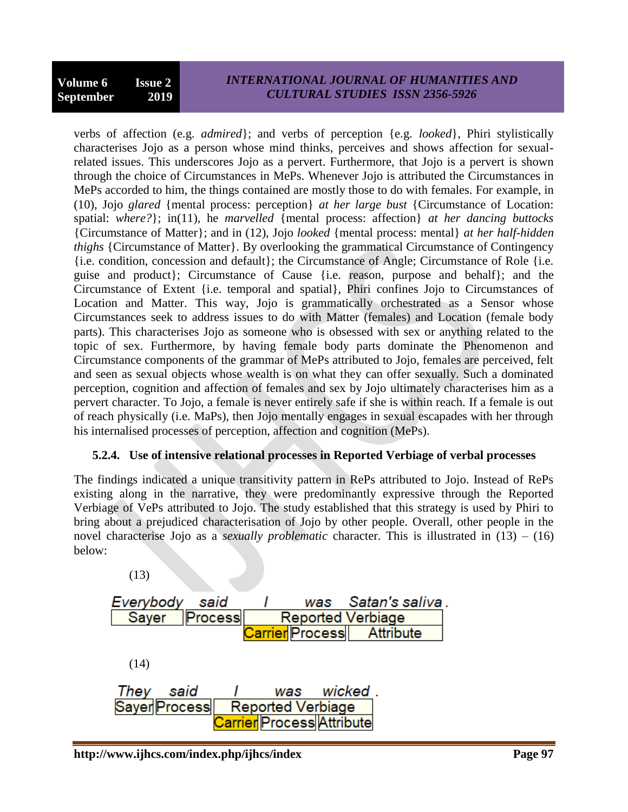## *INTERNATIONAL JOURNAL OF HUMANITIES AND CULTURAL STUDIES ISSN 2356-5926*

verbs of affection (e.g. *admired*}; and verbs of perception {e.g. *looked*}, Phiri stylistically characterises Jojo as a person whose mind thinks, perceives and shows affection for sexualrelated issues. This underscores Jojo as a pervert. Furthermore, that Jojo is a pervert is shown through the choice of Circumstances in MePs. Whenever Jojo is attributed the Circumstances in MePs accorded to him, the things contained are mostly those to do with females. For example, in (10), Jojo *glared* {mental process: perception} *at her large bust* {Circumstance of Location: spatial: *where?*}; in(11), he *marvelled* {mental process: affection} *at her dancing buttocks* {Circumstance of Matter}; and in (12), Jojo *looked* {mental process: mental} *at her half-hidden thighs* {Circumstance of Matter}. By overlooking the grammatical Circumstance of Contingency {i.e. condition, concession and default}; the Circumstance of Angle; Circumstance of Role {i.e. guise and product}; Circumstance of Cause {i.e. reason, purpose and behalf}; and the Circumstance of Extent {i.e. temporal and spatial}, Phiri confines Jojo to Circumstances of Location and Matter. This way, Jojo is grammatically orchestrated as a Sensor whose Circumstances seek to address issues to do with Matter (females) and Location (female body parts). This characterises Jojo as someone who is obsessed with sex or anything related to the topic of sex. Furthermore, by having female body parts dominate the Phenomenon and Circumstance components of the grammar of MePs attributed to Jojo, females are perceived, felt and seen as sexual objects whose wealth is on what they can offer sexually. Such a dominated perception, cognition and affection of females and sex by Jojo ultimately characterises him as a pervert character. To Jojo, a female is never entirely safe if she is within reach. If a female is out of reach physically (i.e. MaPs), then Jojo mentally engages in sexual escapades with her through his internalised processes of perception, affection and cognition (MePs).

## **5.2.4. Use of intensive relational processes in Reported Verbiage of verbal processes**

The findings indicated a unique transitivity pattern in RePs attributed to Jojo. Instead of RePs existing along in the narrative, they were predominantly expressive through the Reported Verbiage of VePs attributed to Jojo. The study established that this strategy is used by Phiri to bring about a prejudiced characterisation of Jojo by other people. Overall, other people in the novel characterise Jojo as a *sexually problematic* character. This is illustrated in (13) – (16) below:

| (13)                                                |
|-----------------------------------------------------|
| was Satan's saliva<br>Everybody<br>said             |
| Sayer<br><b>Process</b><br><b>Reported Verbiage</b> |
| Carrier Process   Attribute                         |
|                                                     |
| (14)                                                |
|                                                     |
| wicked.<br>They<br>said<br>was                      |
| Sayer Process<br><b>Reported Verbiage</b>           |
| <b>Carrier Process Attribute</b>                    |
|                                                     |

 $(12)$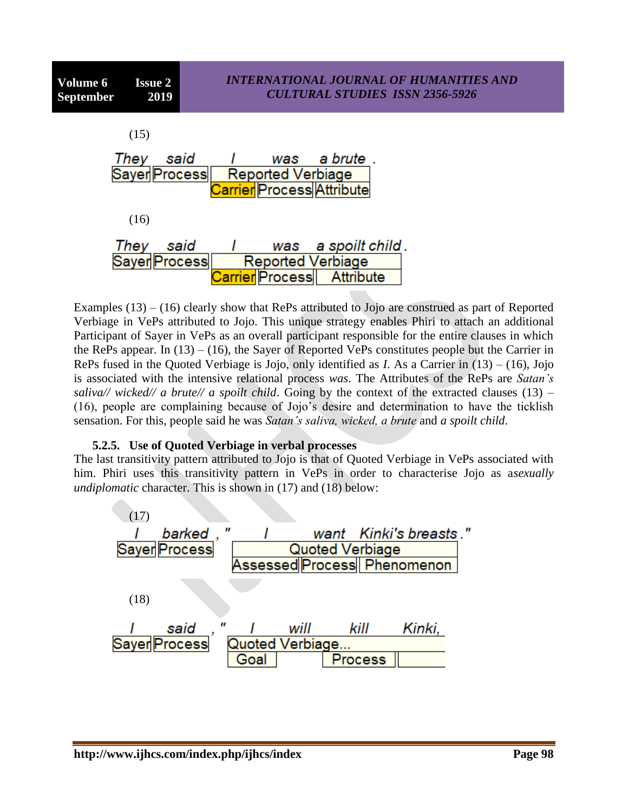| (15)      |                      |                                                              |                     |  |
|-----------|----------------------|--------------------------------------------------------------|---------------------|--|
| They said | Sayer Process        | <b>Reported Verbiage</b><br><b>Carrier Process Attribute</b> | was a brute .       |  |
| (16)      |                      |                                                              |                     |  |
| They      | said                 |                                                              | was a spoilt child. |  |
|           | <b>Sayer Process</b> | <b>Reported Verbiage</b>                                     |                     |  |
|           |                      | Carrier Process                                              | Attribute           |  |

Examples  $(13) - (16)$  clearly show that RePs attributed to Jojo are construed as part of Reported Verbiage in VePs attributed to Jojo. This unique strategy enables Phiri to attach an additional Participant of Sayer in VePs as an overall participant responsible for the entire clauses in which the RePs appear. In  $(13) - (16)$ , the Sayer of Reported VePs constitutes people but the Carrier in RePs fused in the Quoted Verbiage is Jojo, only identified as *I*. As a Carrier in (13) – (16), Jojo is associated with the intensive relational process *was*. The Attributes of the RePs are *Satan's saliva// wicked// a brute// a spoilt child.* Going by the context of the extracted clauses  $(13)$  – (16), people are complaining because of Jojo"s desire and determination to have the ticklish sensation. For this, people said he was *Satan's saliva, wicked, a brute* and *a spoilt child*.

## **5.2.5. Use of Quoted Verbiage in verbal processes**

The last transitivity pattern attributed to Jojo is that of Quoted Verbiage in VePs associated with him. Phiri uses this transitivity pattern in VePs in order to characterise Jojo as a*sexually undiplomatic* character. This is shown in (17) and (18) below:

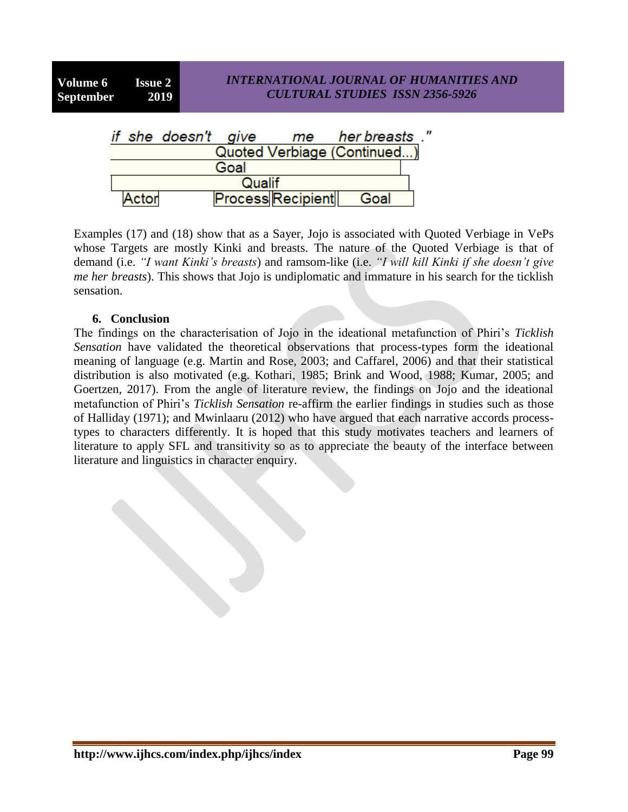$\boldsymbol{u}$ 

|        |                             | if she doesn't give |  | me                       | her breasts. |  |  |  |
|--------|-----------------------------|---------------------|--|--------------------------|--------------|--|--|--|
|        | Quoted Verbiage (Continued) |                     |  |                          |              |  |  |  |
| Goal   |                             |                     |  |                          |              |  |  |  |
| Qualif |                             |                     |  |                          |              |  |  |  |
|        | Actor                       |                     |  | <b>Process Recipient</b> | Goal         |  |  |  |

Examples (17) and (18) show that as a Sayer, Jojo is associated with Quoted Verbiage in VePs whose Targets are mostly Kinki and breasts. The nature of the Quoted Verbiage is that of demand (i.e. *"I want Kinki's breasts*) and ramsom-like (i.e. *"I will kill Kinki if she doesn't give me her breasts*). This shows that Jojo is undiplomatic and immature in his search for the ticklish sensation.

#### **6. Conclusion**

The findings on the characterisation of Jojo in the ideational metafunction of Phiri"s *Ticklish Sensation* have validated the theoretical observations that process-types form the ideational meaning of language (e.g. Martin and Rose, 2003; and Caffarel, 2006) and that their statistical distribution is also motivated (e.g. Kothari, 1985; Brink and Wood, 1988; Kumar, 2005; and Goertzen, 2017). From the angle of literature review, the findings on Jojo and the ideational metafunction of Phiri"s *Ticklish Sensation* re-affirm the earlier findings in studies such as those of Halliday (1971); and Mwinlaaru (2012) who have argued that each narrative accords processtypes to characters differently. It is hoped that this study motivates teachers and learners of literature to apply SFL and transitivity so as to appreciate the beauty of the interface between literature and linguistics in character enquiry.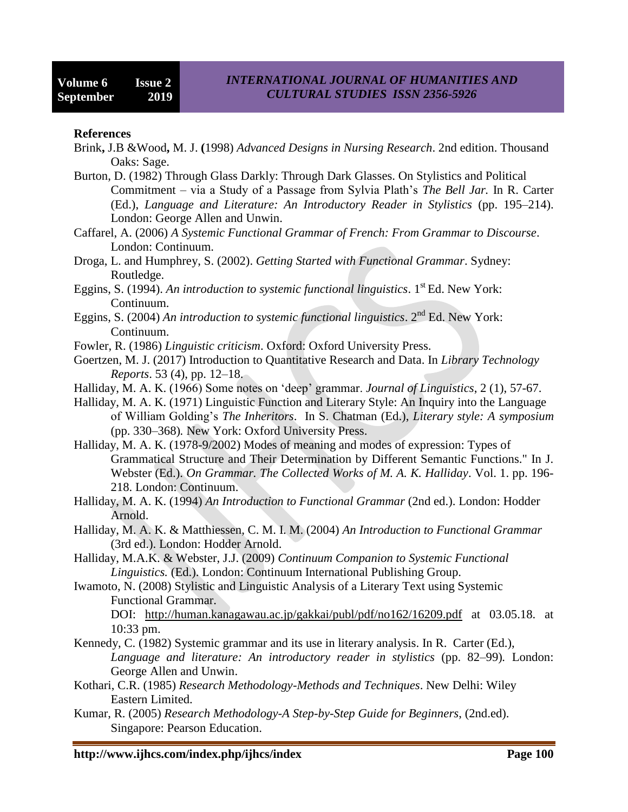#### **References**

- Brink**,** J.B &Wood**,** M. J. **(**1998) *Advanced Designs in Nursing Research*. 2nd edition. Thousand Oaks: Sage.
- Burton, D. (1982) Through Glass Darkly: Through Dark Glasses. On Stylistics and Political Commitment – via a Study of a Passage from Sylvia Plath"s *The Bell Jar.* In R. Carter (Ed.), *Language and Literature: An Introductory Reader in Stylistics* (pp. 195–214). London: George Allen and Unwin.
- Caffarel, A. (2006) *A Systemic Functional Grammar of French: From Grammar to Discourse*. London: Continuum.
- Droga, L. and Humphrey, S. (2002). *Getting Started with Functional Grammar*. Sydney: Routledge.
- Eggins, S. (1994). An introduction to systemic functional linguistics. 1<sup>st</sup> Ed. New York: Continuum.
- Eggins, S. (2004) *An introduction to systemic functional linguistics*. 2nd Ed. New York: Continuum.
- Fowler, R. (1986) *Linguistic criticism*. Oxford: Oxford University Press.
- Goertzen, M. J. (2017) [Introduction to Quantitative Research and Data.](https://journals.ala.org/index.php/ltr/article/view/6325) In *Library Technology Reports*. 53 (4), pp. 12–18.
- Halliday, M. A. K. (1966) Some notes on "deep" grammar. *Journal of Linguistics*, 2 (1), 57-67.
- Halliday, M. A. K. (1971) Linguistic Function and Literary Style: An Inquiry into the Language of William Golding"s *The Inheritors*. In S. Chatman (Ed.), *Literary style: A symposium* (pp. 330–368)*.* New York: Oxford University Press.
- Halliday, M. A. K. (1978-9/2002) Modes of meaning and modes of expression: Types of Grammatical Structure and Their Determination by Different Semantic Functions." In J. Webster (Ed.). *On Grammar. The Collected Works of M. A. K. Halliday*. Vol. 1. pp. 196- 218. London: Continuum.
- Halliday, M. A. K. (1994) *An Introduction to Functional Grammar* (2nd ed.). London: Hodder Arnold.
- Halliday, M. A. K. & Matthiessen, C. M. I. M. (2004) *An Introduction to Functional Grammar* (3rd ed.). London: Hodder Arnold.
- Halliday, M.A.K. & Webster, J.J. (2009) *Continuum Companion to Systemic Functional Linguistics.* (Ed.). London: Continuum International Publishing Group.
- Iwamoto, N. (2008) Stylistic and Linguistic Analysis of a Literary Text using Systemic Functional Grammar.

DOI: <http://human.kanagawau.ac.jp/gakkai/publ/pdf/no162/16209.pdf> at 03.05.18. at 10:33 pm.

- Kennedy, C. (1982) Systemic grammar and its use in literary analysis. In R. Carter (Ed.), *Language and literature: An introductory reader in stylistics* (pp. 82–99)*.* London: George Allen and Unwin.
- Kothari, C.R. (1985) *Research Methodology-Methods and Techniques*. New Delhi: Wiley Eastern Limited.
- Kumar, R. (2005) *Research Methodology-A Step-by-Step Guide for Beginners*, (2nd.ed). Singapore: Pearson Education.